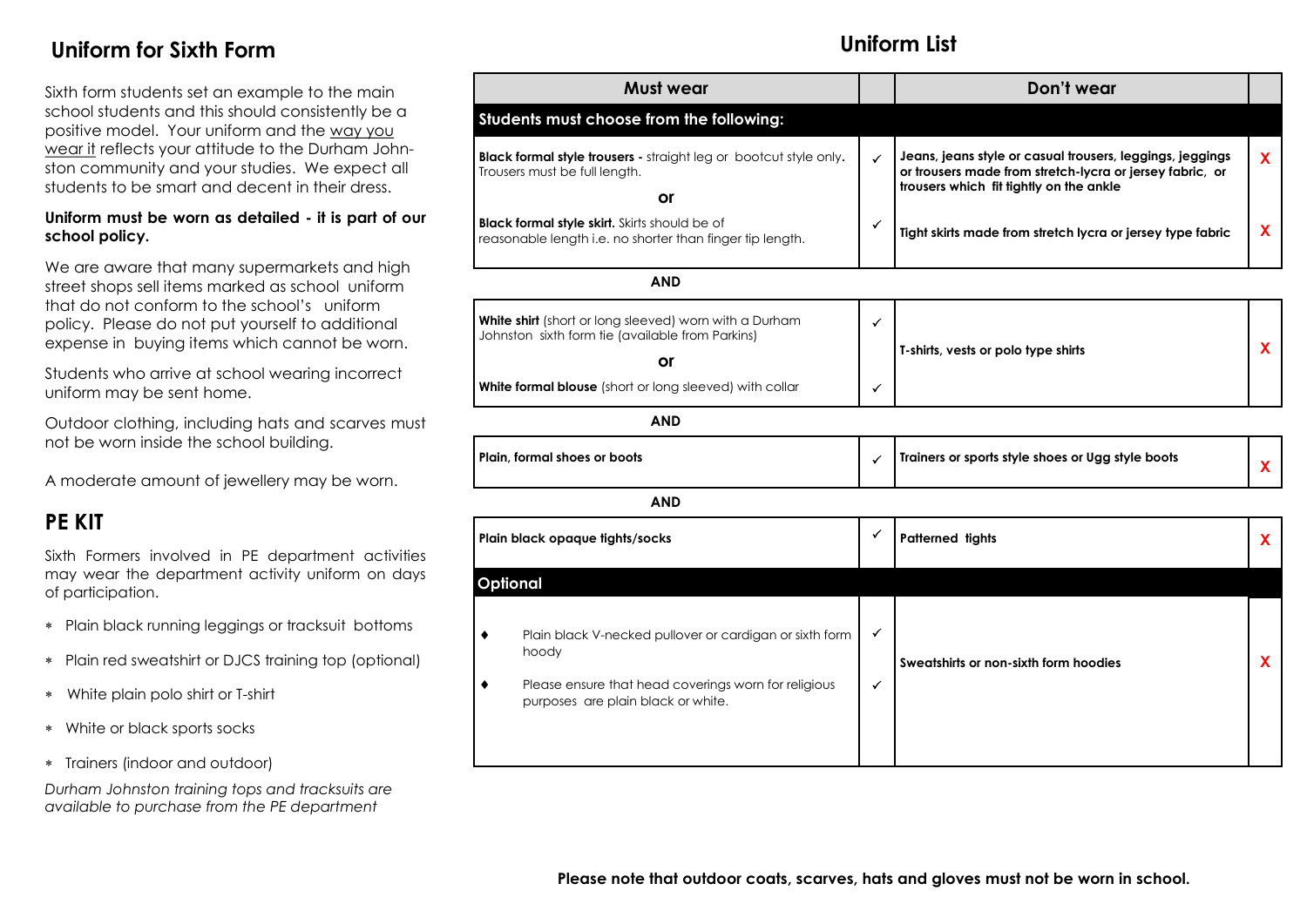### **Uniform for Sixth Form**

Sixth form students set an example to the main school students and this should consistently be a positive model. Your uniform and the way you wear it reflects your attitude to the Durham Johnston community and your studies. We expect all students to be smart and decent in their dress.

#### **Uniform must be worn as detailed - it is part of our school policy.**

We are aware that many supermarkets and high street shops sell items marked as school uniform that do not conform to the school's uniform policy. Please do not put yourself to additional expense in buying items which cannot be worn.

Students who arrive at school wearing incorrect uniform may be sent home.

Outdoor clothing, including hats and scarves must not be worn inside the school building.

A moderate amount of jewellery may be worn.

## **PE KIT**

Sixth Formers involved in PE department activities may wear the department activity uniform on days of participation.

- Plain black running leggings or tracksuit bottoms
- Plain red sweatshirt or DJCS training top (optional)
- White plain polo shirt or T-shirt
- White or black sports socks
- Trainers (indoor and outdoor)

*Durham Johnston training tops and tracksuits are available to purchase from the PE department*

| <b>Must wear</b>                                                                                                               |              | Don't wear                                                                                                                                                       |          |
|--------------------------------------------------------------------------------------------------------------------------------|--------------|------------------------------------------------------------------------------------------------------------------------------------------------------------------|----------|
| Students must choose from the following:                                                                                       |              |                                                                                                                                                                  |          |
| <b>Black formal style trousers - straight leg or bootcut style only.</b><br>Trousers must be full length.<br><b>or</b>         | $\checkmark$ | Jeans, jeans style or casual trousers, leggings, jeggings<br>or trousers made from stretch-lycra or jersey fabric, or<br>trousers which fit tightly on the ankle | <b>X</b> |
| Black formal style skirt. Skirts should be of<br>reasonable length i.e. no shorter than finger tip length.                     | ✓            | Tight skirts made from stretch lycra or jersey type fabric                                                                                                       | X        |
| <b>AND</b>                                                                                                                     |              |                                                                                                                                                                  |          |
| <b>White shirt</b> (short or long sleeved) worn with a Durham<br>Johnston sixth form tie (available from Parkins)<br><b>or</b> | ✓            | T-shirts, vests or polo type shirts                                                                                                                              | X        |
| White formal blouse (short or long sleeved) with collar                                                                        | ✓            |                                                                                                                                                                  |          |
| <b>AND</b>                                                                                                                     |              |                                                                                                                                                                  |          |
| Plain, formal shoes or boots                                                                                                   | $\checkmark$ | Trainers or sports style shoes or Ugg style boots                                                                                                                | <b>X</b> |
| <b>AND</b>                                                                                                                     |              |                                                                                                                                                                  |          |
| Plain black opaque tights/socks                                                                                                | ✓            | <b>Patterned tights</b>                                                                                                                                          | X        |
| <b>Optional</b>                                                                                                                |              |                                                                                                                                                                  |          |
| Plain black V-necked pullover or cardigan or sixth form<br>٠<br>hoody                                                          | ✓            | Sweatshirts or non-sixth form hoodies                                                                                                                            | <b>X</b> |
| Please ensure that head coverings worn for religious<br>٠<br>purposes are plain black or white.                                | $\checkmark$ |                                                                                                                                                                  |          |

#### **Uniform List**